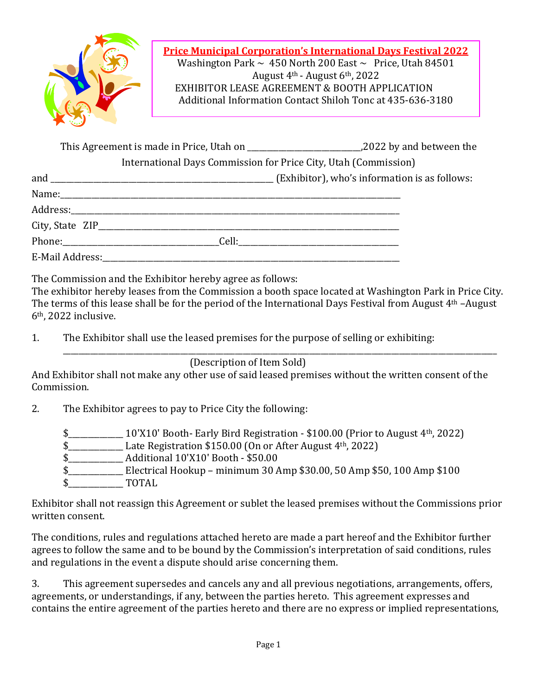

This Agreement is made in Price, Utah on \_\_\_\_\_\_\_\_\_\_\_\_\_\_\_\_\_\_\_\_\_\_\_\_\_\_\_\_\_,2022 by and between the 

International Days Commission for Price City, Utah (Commission)

| and | $(Exhibit or)$ , who's information is as follows:                                                                                                                                                                              |
|-----|--------------------------------------------------------------------------------------------------------------------------------------------------------------------------------------------------------------------------------|
|     |                                                                                                                                                                                                                                |
|     |                                                                                                                                                                                                                                |
|     |                                                                                                                                                                                                                                |
|     | Phone: Cell: Cell: Cell: Cell: Cell: Cell: Cell: Cell: Cell: Cell: Cell: Cell: Cell: Cell: Cell: Cell: Cell: Cell: Cell: Cell: Cell: Cell: Cell: Cell: Cell: Cell: Cell: Cell: Cell: Cell: Cell: Cell: Cell: Cell: Cell: Cell: |
|     |                                                                                                                                                                                                                                |

The Commission and the Exhibitor hereby agree as follows:

The exhibitor hereby leases from the Commission a booth space located at Washington Park in Price City. The terms of this lease shall be for the period of the International Days Festival from August  $4<sup>th</sup>$ –August  $6<sup>th</sup>$ , 2022 inclusive.

1. The Exhibitor shall use the leased premises for the purpose of selling or exhibiting:

(Description of Item Sold)

And Exhibitor shall not make any other use of said leased premises without the written consent of the Commission. 

 $\overline{\phantom{a}}$  , and the contract of the contract of the contract of the contract of the contract of the contract of the contract of the contract of the contract of the contract of the contract of the contract of the contrac

2. The Exhibitor agrees to pay to Price City the following:

\$\_\_\_\_\_\_\_\_\_\_\_\_\_\_\_\_\_\_\_\_\_\_\_ 10'X10' Booth- Early Bird Registration - \$100.00 (Prior to August 4<sup>th</sup>, 2022)

- $\frac{1}{2}$  Late Registration \$150.00 (On or After August 4<sup>th</sup>, 2022)
- \$ Additional 10'X10' Booth \$50.00
- \$\_\_\_\_\_\_\_\_\_\_\_\_\_\_\_\_\_\_\_\_\_\_\_ Electrical Hookup minimum 30 Amp \$30.00, 50 Amp \$50, 100 Amp \$100
- $$$  TOTAL

Exhibitor shall not reassign this Agreement or sublet the leased premises without the Commissions prior written consent.

The conditions, rules and regulations attached hereto are made a part hereof and the Exhibitor further agrees to follow the same and to be bound by the Commission's interpretation of said conditions, rules and regulations in the event a dispute should arise concerning them.

3. This agreement supersedes and cancels any and all previous negotiations, arrangements, offers, agreements, or understandings, if any, between the parties hereto. This agreement expresses and contains the entire agreement of the parties hereto and there are no express or implied representations,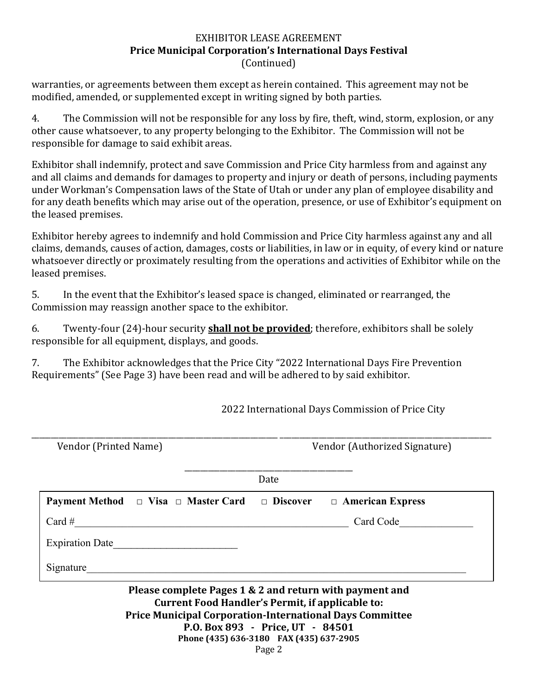## EXHIBITOR LEASE AGREEMENT **Price Municipal Corporation's International Days Festival** (Continued)

warranties, or agreements between them except as herein contained. This agreement may not be modified, amended, or supplemented except in writing signed by both parties.

4. The Commission will not be responsible for any loss by fire, theft, wind, storm, explosion, or any other cause whatsoever, to any property belonging to the Exhibitor. The Commission will not be responsible for damage to said exhibit areas.

Exhibitor shall indemnify, protect and save Commission and Price City harmless from and against any and all claims and demands for damages to property and injury or death of persons, including payments under Workman's Compensation laws of the State of Utah or under any plan of employee disability and for any death benefits which may arise out of the operation, presence, or use of Exhibitor's equipment on the leased premises.

Exhibitor hereby agrees to indemnify and hold Commission and Price City harmless against any and all claims, demands, causes of action, damages, costs or liabilities, in law or in equity, of every kind or nature whatsoever directly or proximately resulting from the operations and activities of Exhibitor while on the leased premises.

5. In the event that the Exhibitor's leased space is changed, eliminated or rearranged, the Commission may reassign another space to the exhibitor.

6. Twenty-four (24)-hour security **shall not be provided**; therefore, exhibitors shall be solely responsible for all equipment, displays, and goods.

7. The Exhibitor acknowledges that the Price City "2022 International Days Fire Prevention Requirements" (See Page 3) have been read and will be adhered to by said exhibitor.

2022 International Days Commission of Price City

| Vendor (Printed Name)                                                                                       | Vendor (Authorized Signature) |                                                                 |  |
|-------------------------------------------------------------------------------------------------------------|-------------------------------|-----------------------------------------------------------------|--|
|                                                                                                             | Date                          |                                                                 |  |
| <b>Payment Method</b> $\Box$ Visa $\Box$ Master Card $\Box$ Discover $\Box$ American Express                |                               |                                                                 |  |
| $Card \#$                                                                                                   |                               | Card Code                                                       |  |
| Expiration Date                                                                                             |                               |                                                                 |  |
| Signature                                                                                                   |                               |                                                                 |  |
| Please complete Pages 1 & 2 and return with payment and<br>Current Food Handler's Permit, if applicable to: |                               | <b>Price Municipal Corporation-International Days Committee</b> |  |